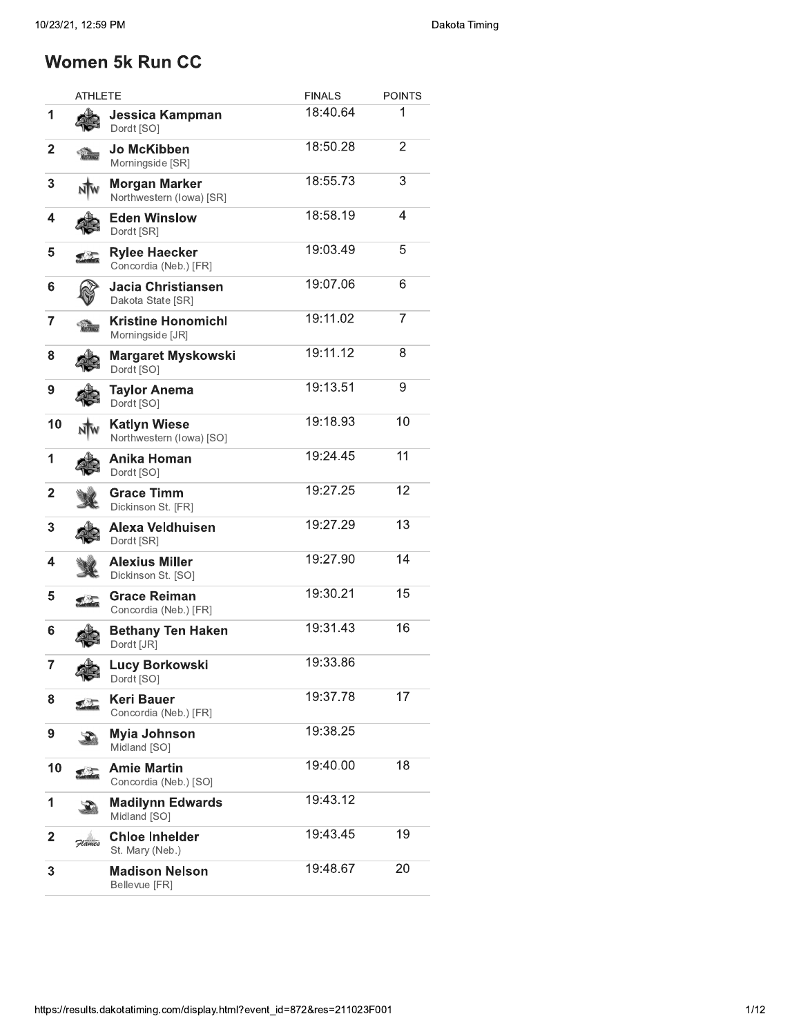## Women 5k Run CC

|                         | ATHLETE        |                                                  | <b>FINALS</b><br><b>POINTS</b> |                |  |  |
|-------------------------|----------------|--------------------------------------------------|--------------------------------|----------------|--|--|
| 1                       |                | Jessica Kampman<br>Dordt [SO]                    | 18:40.64                       | 1              |  |  |
| $\overline{\mathbf{2}}$ |                | Jo McKibben<br>Morningside [SR]                  | 18:50.28                       | $\overline{2}$ |  |  |
| 3                       |                | <b>Morgan Marker</b><br>Northwestern (lowa) [SR] | 18:55.73                       | 3              |  |  |
| 4                       |                | <b>Eden Winslow</b><br>Dordt [SR]                | 18:58.19                       | 4              |  |  |
| 5                       |                | <b>Rylee Haecker</b><br>Concordia (Neb.) [FR]    | 19:03.49                       | 5              |  |  |
| 6                       |                | Jacia Christiansen<br>Dakota State [SR]          | 19:07.06                       | 6              |  |  |
| 7                       |                | Kristine Honomichl<br>Morningside [JR]           | 19:11.02                       | 7              |  |  |
| 8                       |                | Margaret Myskowski<br>Dordt [SO]                 | 19:11.12                       | 8              |  |  |
| 9                       |                | <b>Taylor Anema</b><br>Dordt [SO]                | 19:13.51                       | 9              |  |  |
| 10                      |                | Katlyn Wiese<br>Northwestern (lowa) [SO]         | 19:18.93                       | 10             |  |  |
| 1                       |                | Anika Homan<br>Dordt [SO]                        | 19:24.45                       | 11             |  |  |
| $\overline{2}$          |                | Grace Timm<br>Dickinson St. [FR]                 | 19:27.25                       | 12             |  |  |
| 3                       |                | Alexa Veldhuisen<br>Dordt [SR]                   | 19:27.29                       | 13             |  |  |
| 4                       |                | <b>Alexius Miller</b><br>Dickinson St. [SO]      | 19:27.90                       | 14             |  |  |
| 5                       |                | <b>Grace Reiman</b><br>Concordia (Neb.) [FR]     | 19:30.21                       | 15             |  |  |
| 6                       |                | <b>Bethany Ten Haken</b><br>Dordt [JR]           | 19:31.43                       | 16             |  |  |
| $\overline{7}$          | $\mathbb{R}^n$ | Lucy Borkowski<br>Dordt [SO]                     | 19:33.86                       |                |  |  |
| 8                       | <u>SIT</u>     | <b>Keri Bauer</b><br>Concordia (Neb.) [FR]       | 19:37.78                       | 17             |  |  |
| 9                       |                | <b>Myia Johnson</b><br>Midland [SO]              | 19:38.25                       |                |  |  |
| 10                      | €Σ             | <b>Amie Martin</b><br>Concordia (Neb.) [SO]      | 19:40.00                       | 18             |  |  |
| 1                       |                | <b>Madilynn Edwards</b><br>Midland [SO]          | 19:43.12                       |                |  |  |
| $\mathbf{2}$            | Flames         | <b>Chloe Inhelder</b><br>St. Mary (Neb.)         | 19:43.45                       | 19             |  |  |
| 3                       |                | <b>Madison Nelson</b><br>Bellevue [FR]           | 19:48.67                       | 20             |  |  |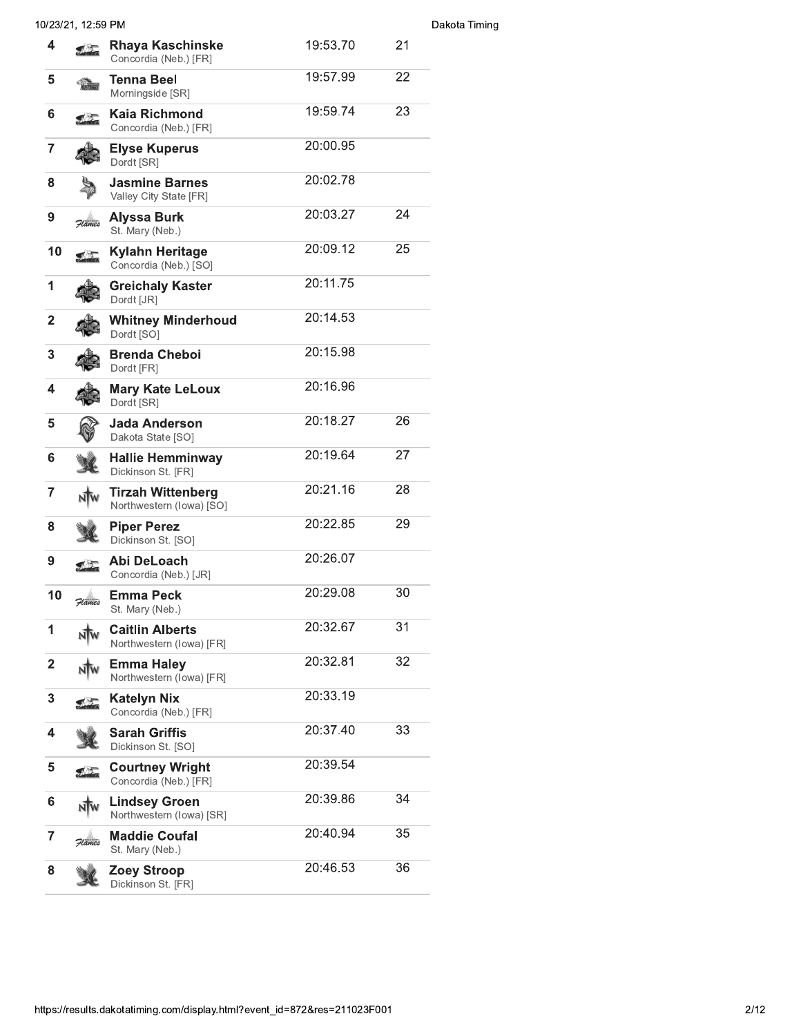|                  | 10/23/21, 12:59 PM |                                                      |          |    | Dakota Timing |
|------------------|--------------------|------------------------------------------------------|----------|----|---------------|
| 4                |                    | <b>Rhaya Kaschinske</b><br>Concordia (Neb.) [FR]     | 19:53.70 | 21 |               |
| 5                |                    | Tenna Beel<br>Morningside [SR]                       | 19:57.99 | 22 |               |
| 6                |                    | Kaia Richmond<br>Concordia (Neb.) [FR]               | 19:59.74 | 23 |               |
| $\overline{7}$   |                    | <b>Elyse Kuperus</b><br>Dordt [SR]                   | 20:00.95 |    |               |
| 8                |                    | <b>Jasmine Barnes</b><br>Valley City State [FR]      | 20:02.78 |    |               |
| $\boldsymbol{9}$ | Flames             | Alyssa Burk<br>St. Mary (Neb.)                       | 20:03.27 | 24 |               |
| 10               |                    | Kylahn Heritage<br>Concordia (Neb.) [SO]             | 20:09.12 | 25 |               |
| 1                |                    | <b>Greichaly Kaster</b><br>Dordt [JR]                | 20:11.75 |    |               |
| $\mathbf{2}$     |                    | <b>Whitney Minderhoud</b><br>Dordt [SO]              | 20:14.53 |    |               |
| 3                |                    | <b>Brenda Cheboi</b><br>Dordt [FR]                   | 20:15.98 |    |               |
| 4                |                    | <b>Mary Kate LeLoux</b><br>Dordt [SR]                | 20:16.96 |    |               |
| 5                |                    | Jada Anderson<br>Dakota State [SO]                   | 20:18.27 | 26 |               |
| 6                |                    | <b>Hallie Hemminway</b><br>Dickinson St. [FR]        | 20:19.64 | 27 |               |
| $\overline{7}$   |                    | <b>Tirzah Wittenberg</b><br>Northwestern (lowa) [SO] | 20:21.16 | 28 |               |
| 8                |                    | <b>Piper Perez</b><br>Dickinson St. [SO]             | 20:22.85 | 29 |               |
| 9                |                    | Abi DeLoach<br>Concordia (Neb.) [JR]                 | 20:26.07 |    |               |
| 10               |                    | <b>Emma Peck</b><br>St. Mary (Neb.)                  | 20:29.08 | 30 |               |
| $\mathbf 1$      |                    | <b>Caitlin Alberts</b><br>Northwestern (lowa) [FR]   | 20:32.67 | 31 |               |
| $\mathbf{2}$     |                    | <b>Emma Haley</b><br>Northwestern (lowa) [FR]        | 20:32.81 | 32 |               |
| 3                |                    | <b>Katelyn Nix</b><br>Concordia (Neb.) [FR]          | 20:33.19 |    |               |
| 4                |                    | <b>Sarah Griffis</b><br>Dickinson St. [SO]           | 20:37.40 | 33 |               |
| 5                |                    | <b>Courtney Wright</b><br>Concordia (Neb.) [FR]      | 20:39.54 |    |               |
| 6                |                    | <b>Lindsey Groen</b><br>Northwestern (lowa) [SR]     | 20:39.86 | 34 |               |
| 7                | Flames             | <b>Maddie Coufal</b><br>St. Mary (Neb.)              | 20:40.94 | 35 |               |
| 8                |                    | Zoey Stroop<br>Dickinson St. [FR]                    | 20:46.53 | 36 |               |
|                  |                    |                                                      |          |    |               |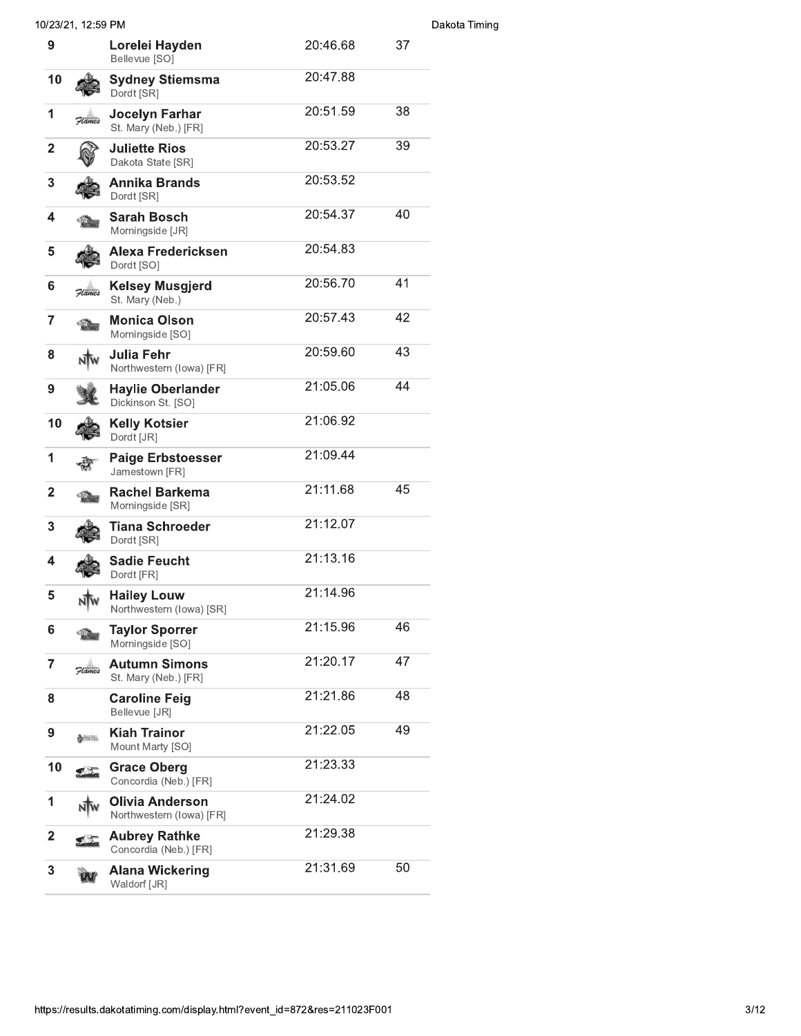|                 | 10/23/21, 12:59 PM |                                                |          |    | Dakota Timing |
|-----------------|--------------------|------------------------------------------------|----------|----|---------------|
| 9               |                    | Lorelei Hayden<br>Bellevue [SO]                | 20:46.68 | 37 |               |
| 10              |                    | <b>Sydney Stiemsma</b><br>Dordt [SR]           | 20:47.88 |    |               |
| 1               | Flames             | <b>Jocelyn Farhar</b><br>St. Mary (Neb.) [FR]  | 20:51.59 | 38 |               |
| $\mathbf{2}$    |                    | <b>Juliette Rios</b><br>Dakota State [SR]      | 20:53.27 | 39 |               |
| 3               |                    | <b>Annika Brands</b><br>Dordt [SR]             | 20:53.52 |    |               |
| 4               |                    | <b>Sarah Bosch</b><br>Morningside [JR]         | 20:54.37 | 40 |               |
| 5               |                    | Alexa Fredericksen<br>Dordt [SO]               | 20:54.83 |    |               |
| 6               | Flames             | <b>Kelsey Musgjerd</b><br>St. Mary (Neb.)      | 20:56.70 | 41 |               |
| 7               |                    | <b>Monica Olson</b><br>Morningside [SO]        | 20:57.43 | 42 |               |
| 8               |                    | Julia Fehr<br>Northwestern (lowa) [FR]         | 20:59.60 | 43 |               |
| 9               |                    | <b>Haylie Oberlander</b><br>Dickinson St. [SO] | 21:05.06 | 44 |               |
| 10              |                    | <b>Kelly Kotsier</b><br>Dordt [JR]             | 21:06.92 |    |               |
| 1               |                    | <b>Paige Erbstoesser</b><br>Jamestown [FR]     | 21:09.44 |    |               |
| $\mathbf{2}$    |                    | <b>Rachel Barkema</b><br>Morningside [SR]      | 21:11.68 | 45 |               |
| 3               |                    | <b>Tiana Schroeder</b><br>Dordt [SR]           | 21:12.07 |    |               |
| 4               |                    | <b>Sadie Feucht</b><br>Dordt [FR]              | 21:13.16 |    |               |
| 5               |                    | <b>Hailey Louw</b><br>Northwestern (lowa) [SR] | 21:14.96 |    |               |
| $6\phantom{1}6$ |                    | <b>Taylor Sporrer</b><br>Morningside [SO]      | 21:15.96 | 46 |               |
| 7               | Flames             | <b>Autumn Simons</b><br>St. Mary (Neb.) [FR]   | 21:20.17 | 47 |               |
| 8               |                    | <b>Caroline Feig</b><br>Bellevue [JR]          | 21:21.86 | 48 |               |
| 9               | LUNCERS            | <b>Kiah Trainor</b><br>Mount Marty [SO]        | 21:22.05 | 49 |               |
| 10              |                    | <b>Grace Oberg</b><br>Concordia (Neb.) [FR]    | 21:23.33 |    |               |
| 1               |                    | Olivia Anderson<br>Northwestern (lowa) [FR]    | 21:24.02 |    |               |
| $\overline{2}$  | スクラ                | <b>Aubrey Rathke</b><br>Concordia (Neb.) [FR]  | 21:29.38 |    |               |
| 3               |                    | <b>Alana Wickering</b><br>Waldorf [JR]         | 21:31.69 | 50 |               |
|                 |                    |                                                |          |    |               |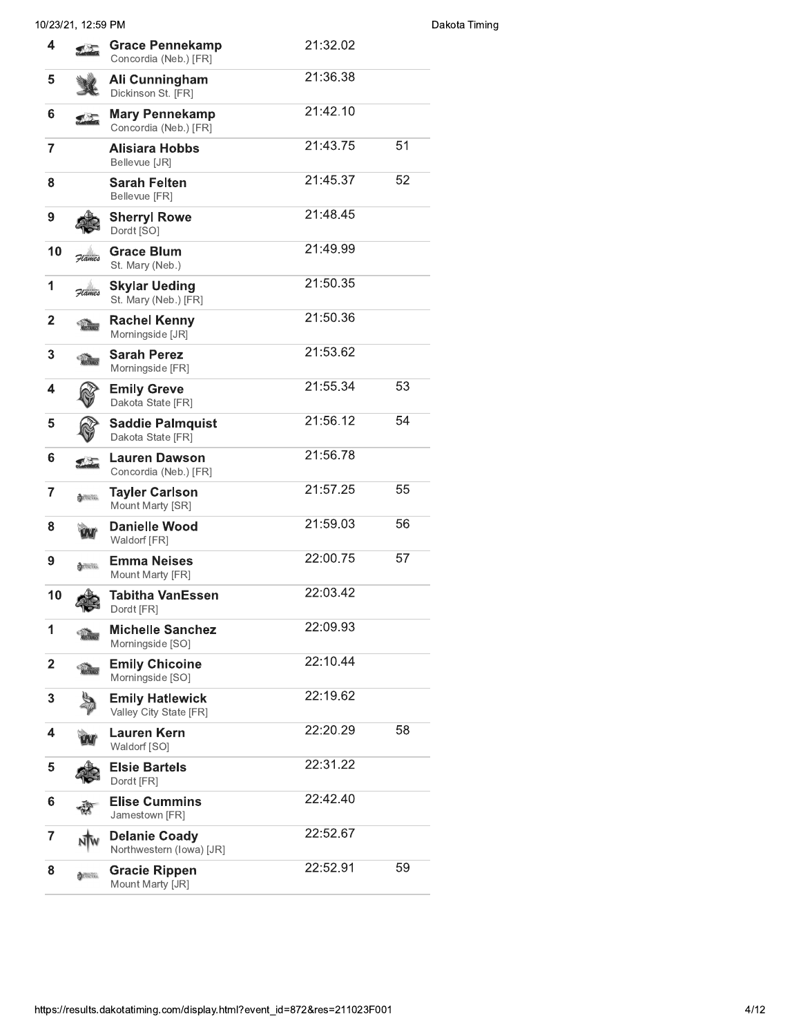| 10/23/21, 12:59 PM |                                                  |          |          |
|--------------------|--------------------------------------------------|----------|----------|
|                    | <b>Grace Pennekamp</b><br>Concordia (Neb.) [FR]  | 21:32.02 |          |
|                    | Ali Cunningham<br>Dickinson St. [FR]             | 21:36.38 |          |
|                    | <b>Mary Pennekamp</b><br>Concordia (Neb.) [FR]   | 21:42.10 |          |
|                    | <b>Alisiara Hobbs</b><br>Bellevue [JR]           | 21:43.75 | 51       |
|                    | <b>Sarah Felten</b><br>Bellevue [FR]             | 21:45.37 | 52       |
|                    | <b>Sherryl Rowe</b><br>Dordt [SO]                | 21:48.45 |          |
| Flames             | <b>Grace Blum</b><br>St. Mary (Neb.)             | 21:49.99 |          |
| Flames             | <b>Skylar Ueding</b><br>St. Mary (Neb.) [FR]     | 21:50.35 |          |
|                    | <b>Rachel Kenny</b><br>Morningside [JR]          | 21:50.36 |          |
|                    | <b>Sarah Perez</b><br>Morningside [FR]           | 21:53.62 |          |
|                    | <b>Emily Greve</b><br>Dakota State [FR]          | 21:55.34 | 53       |
|                    | <b>Saddie Palmquist</b><br>Dakota State [FR]     | 21:56.12 | 54       |
|                    | <b>Lauren Dawson</b><br>Concordia (Neb.) [FR]    | 21:56.78 |          |
| <b>EL LINCERS</b>  | <b>Tayler Carlson</b><br>Mount Marty [SR]        | 21:57.25 | 55       |
|                    | <b>Danielle Wood</b><br>Waldorf [FR]             | 21:59.03 | 56       |
| LANCERS            | <b>Emma Neises</b><br>Mount Marty [FR]           | 22:00.75 | 57       |
|                    | <b>Tabitha VanEssen</b><br>Dordt [FR]            | 22:03.42 |          |
| <b>VUSTANGS</b>    | <b>Michelle Sanchez</b><br>Morningside [SO]      | 22:09.93 |          |
| <b>YUSTANES</b>    | <b>Emily Chicoine</b><br>Morningside [SO]        |          |          |
|                    | <b>Emily Hatlewick</b><br>Valley City State [FR] | 22:19.62 |          |
|                    | <b>Lauren Kern</b><br>Waldorf [SO]               | 22:20.29 | 58       |
|                    | <b>Elsie Bartels</b><br>Dordt [FR]               | 22:31.22 |          |
|                    | <b>Elise Cummins</b><br>Jamestown [FR]           | 22:42.40 |          |
|                    | <b>Delanie Coady</b><br>Northwestern (lowa) [JR] | 22:52.67 |          |
| LANCERS            | <b>Gracie Rippen</b><br>Mount Marty [JR]         | 22:52.91 | 59       |
|                    |                                                  |          | 22:10.44 |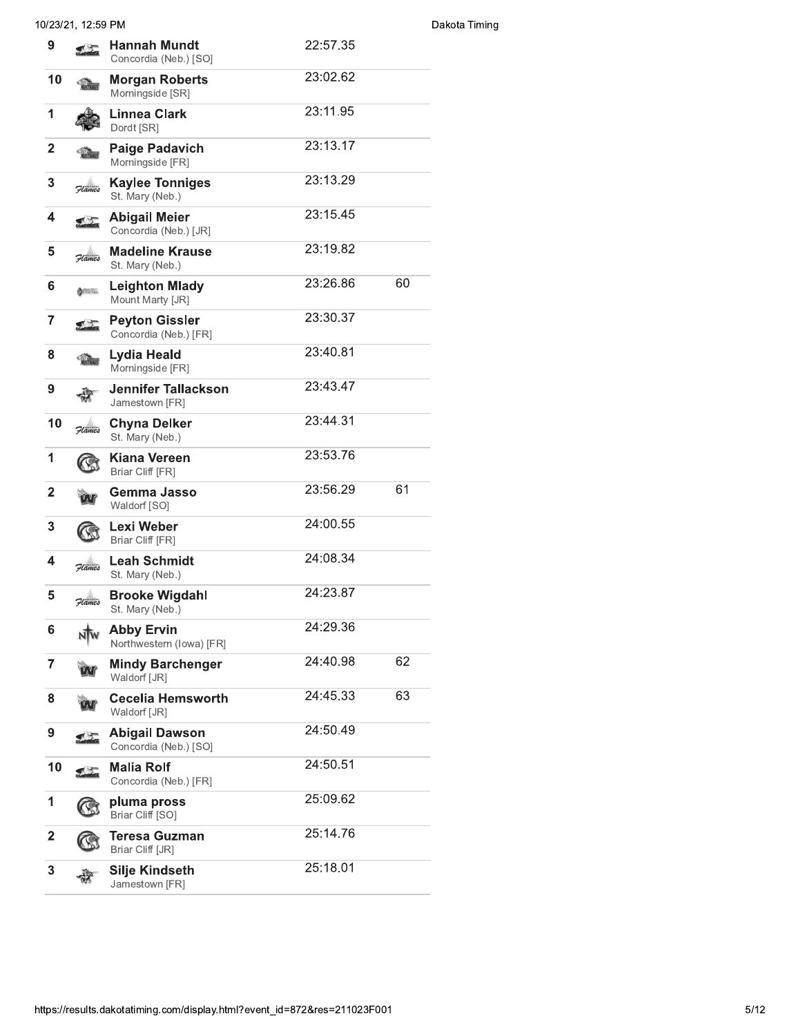|                         | 10/23/21, 12:59 PM          |                                                |          |    | Dakota Timing |
|-------------------------|-----------------------------|------------------------------------------------|----------|----|---------------|
| 9                       |                             | <b>Hannah Mundt</b><br>Concordia (Neb.) [SO]   | 22:57.35 |    |               |
| 10                      |                             | <b>Morgan Roberts</b><br>Morningside [SR]      | 23:02.62 |    |               |
| 1                       |                             | Linnea Clark<br>Dordt [SR]                     | 23:11.95 |    |               |
| $\mathbf 2$             |                             | <b>Paige Padavich</b><br>Morningside [FR]      | 23:13.17 |    |               |
| 3                       | Flames                      | <b>Kaylee Tonniges</b><br>St. Mary (Neb.)      | 23:13.29 |    |               |
| 4                       |                             | <b>Abigail Meier</b><br>Concordia (Neb.) [JR]  | 23:15.45 |    |               |
| 5                       | Flames                      | <b>Madeline Krause</b><br>St. Mary (Neb.)      | 23:19.82 |    |               |
| 6                       | LANCERS                     | <b>Leighton Mlady</b><br>Mount Marty [JR]      | 23:26.86 | 60 |               |
| 7                       | $\mathcal{L}_{\mathcal{L}}$ | <b>Peyton Gissler</b><br>Concordia (Neb.) [FR] | 23:30.37 |    |               |
| 8                       | <b>MUSTANIE</b>             | <b>Lydia Heald</b><br>Morningside [FR]         | 23:40.81 |    |               |
| 9                       |                             | <b>Jennifer Tallackson</b><br>Jamestown [FR]   | 23:43.47 |    |               |
| 10                      | Flames                      | <b>Chyna Delker</b><br>St. Mary (Neb.)         | 23:44.31 |    |               |
| 1                       |                             | Kiana Vereen<br>Briar Cliff [FR]               | 23:53.76 |    |               |
| $\mathbf{2}$            |                             | Gemma Jasso<br>Waldorf [SO]                    | 23:56.29 | 61 |               |
| 3                       |                             | Lexi Weber<br>Briar Cliff [FR]                 | 24:00.55 |    |               |
| 4                       | Flames                      | <b>Leah Schmidt</b><br>St. Mary (Neb.)         | 24:08.34 |    |               |
| 5                       | Flames                      | <b>Brooke Wigdahl</b><br>St. Mary (Neb.)       | 24:23.87 |    |               |
| 6                       |                             | <b>Abby Ervin</b><br>Northwestern (Iowa) [FR]  | 24:29.36 |    |               |
| 7                       |                             | <b>Mindy Barchenger</b><br>Waldorf [JR]        | 24:40.98 | 62 |               |
| 8                       |                             | <b>Cecelia Hemsworth</b><br>Waldorf [JR]       | 24:45.33 | 63 |               |
| 9                       | 【⑦                          | <b>Abigail Dawson</b><br>Concordia (Neb.) [SO] | 24:50.49 |    |               |
| 10                      |                             | <b>Malia Rolf</b><br>Concordia (Neb.) [FR]     | 24:50.51 |    |               |
| 1                       |                             | pluma pross<br>Briar Cliff [SO]                | 25:09.62 |    |               |
| $\overline{\mathbf{2}}$ |                             | Teresa Guzman<br>Briar Cliff [JR]              | 25:14.76 |    |               |
| 3                       |                             | Silje Kindseth<br>Jamestown [FR]               | 25:18.01 |    |               |
|                         |                             |                                                |          |    |               |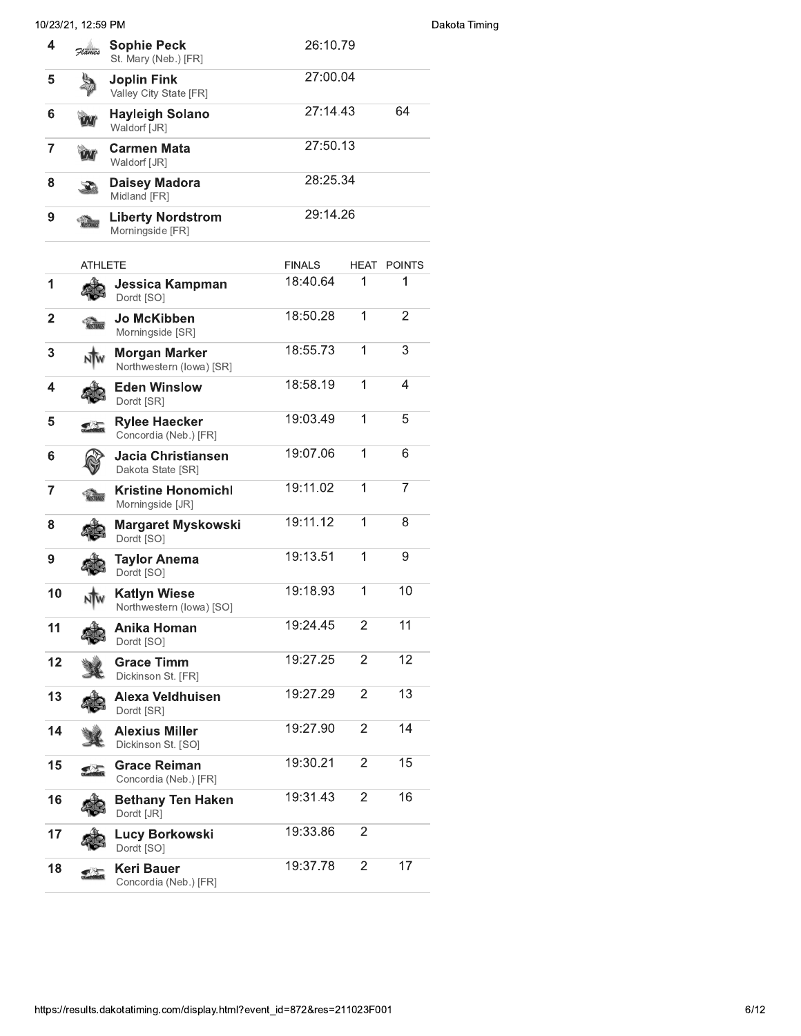|                | 10/23/21, 12:59 PM |                                                  |               |                |                    |
|----------------|--------------------|--------------------------------------------------|---------------|----------------|--------------------|
| 4              | Flames             | <b>Sophie Peck</b><br>St. Mary (Neb.) [FR]       | 26:10.79      |                |                    |
| 5              |                    | <b>Joplin Fink</b><br>Valley City State [FR]     | 27:00.04      |                |                    |
| 6              |                    | <b>Hayleigh Solano</b><br>Waldorf [JR]           | 27:14.43      |                | 64                 |
| $\overline{7}$ |                    | <b>Carmen Mata</b><br>Waldorf [JR]               | 27:50.13      |                |                    |
| 8              |                    | <b>Daisey Madora</b><br>Midland [FR]             | 28:25.34      |                |                    |
| 9              |                    | <b>Liberty Nordstrom</b><br>Morningside [FR]     | 29:14.26      |                |                    |
|                | <b>ATHLETE</b>     |                                                  | <b>FINALS</b> |                | <b>HEAT POINTS</b> |
| 1              |                    | Jessica Kampman<br>Dordt [SO]                    | 18:40.64      | 1              | 1                  |
| $\overline{2}$ |                    | Jo McKibben<br>Morningside [SR]                  | 18:50.28      | 1              | $\overline{2}$     |
| 3              |                    | <b>Morgan Marker</b><br>Northwestern (lowa) [SR] | 18:55.73      | 1              | 3                  |
| 4              |                    | <b>Eden Winslow</b><br>Dordt [SR]                | 18:58.19      | 1              | 4                  |
| 5              |                    | <b>Rylee Haecker</b><br>Concordia (Neb.) [FR]    | 19:03.49      | 1              | 5                  |
| 6              |                    | Jacia Christiansen<br>Dakota State [SR]          | 19:07.06      | 1              | 6                  |
| 7              |                    | <b>Kristine Honomichl</b><br>Morningside [JR]    | 19:11.02      | 1              | $\overline{7}$     |
| 8              |                    | <b>Margaret Myskowski</b><br>Dordt [SO]          | 19:11.12      | 1              | 8                  |
|                |                    | <b>Taylor Anema</b><br>Dordt [SO]                | 19:13.51      | 1              | 9                  |
| 10             | NW                 | <b>Katlyn Wiese</b><br>Northwestern (lowa) [SO]  | 19:18.93      | 1              | 10                 |
| 11             |                    | Anika Homan<br>Dordt [SO]                        | 19:24.45      | $\overline{2}$ | 11                 |
| 12             |                    | <b>Grace Timm</b><br>Dickinson St. [FR]          | 19:27.25      | $\overline{2}$ | 12                 |
| 13             |                    | Alexa Veldhuisen<br>Dordt [SR]                   | 19:27.29      | $\overline{2}$ | 13                 |
| 14             |                    | <b>Alexius Miller</b><br>Dickinson St. [SO]      | 19:27.90      | $\overline{2}$ | 14                 |
| 15             |                    | <b>Grace Reiman</b><br>Concordia (Neb.) [FR]     | 19:30.21      | $\overline{2}$ | 15                 |
| 16             |                    | <b>Bethany Ten Haken</b><br>Dordt [JR]           | 19:31.43      | $\overline{2}$ | 16                 |
| 17             |                    | Lucy Borkowski<br>Dordt [SO]                     | 19:33.86      | $\overline{2}$ |                    |
| 18             |                    | Keri Bauer<br>Concordia (Neb.) [FR]              | 19:37.78      | $\overline{2}$ | 17                 |
|                |                    |                                                  |               |                |                    |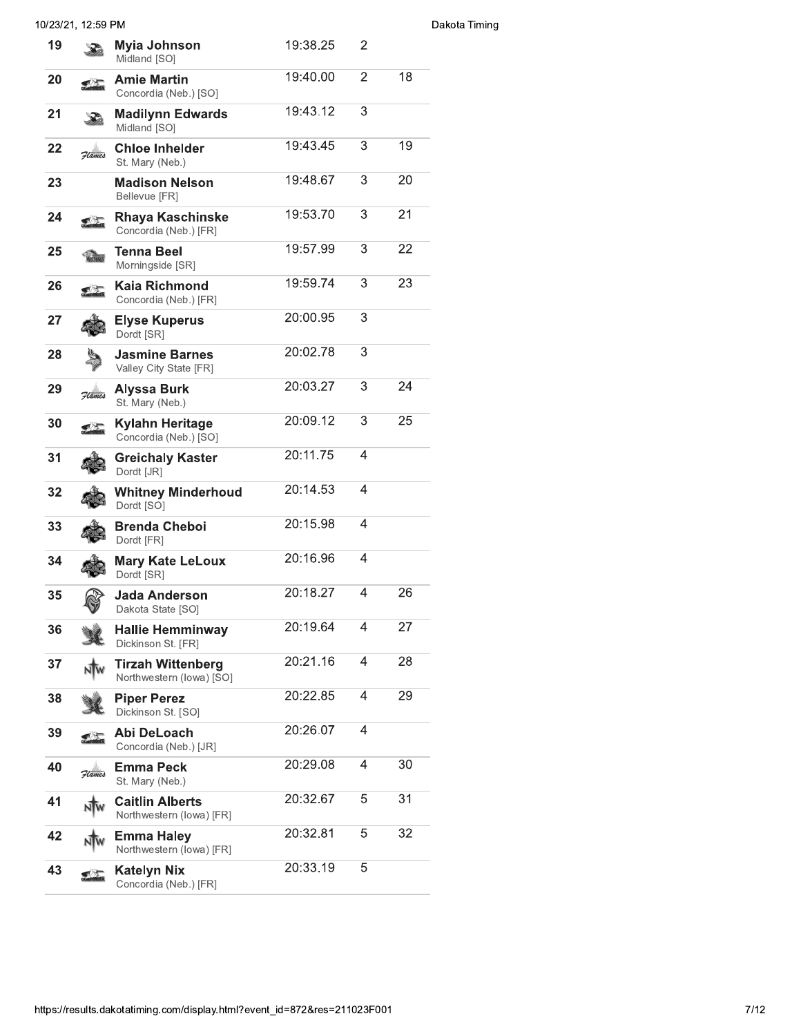|    | 10/23/21, 12:59 PM |                                                      |          |                |    |
|----|--------------------|------------------------------------------------------|----------|----------------|----|
| 19 |                    | Myia Johnson<br>Midland [SO]                         | 19:38.25 | 2              |    |
| 20 |                    | <b>Amie Martin</b><br>Concordia (Neb.) [SO]          | 19:40.00 | $\overline{2}$ | 18 |
| 21 |                    | <b>Madilynn Edwards</b><br>Midland [SO]              | 19:43.12 | 3              |    |
| 22 | Flames             | <b>Chloe Inhelder</b><br>St. Mary (Neb.)             | 19:43.45 | 3              | 19 |
| 23 |                    | <b>Madison Nelson</b><br>Bellevue [FR]               | 19:48.67 | 3              | 20 |
| 24 |                    | Rhaya Kaschinske<br>Concordia (Neb.) [FR]            | 19:53.70 | 3              | 21 |
| 25 |                    | Tenna Beel<br>Morningside [SR]                       | 19:57.99 | 3              | 22 |
| 26 |                    | Kaia Richmond<br>Concordia (Neb.) [FR]               | 19:59.74 | 3              | 23 |
| 27 |                    | Elyse Kuperus<br>Dordt [SR]                          | 20:00.95 | 3              |    |
| 28 |                    | <b>Jasmine Barnes</b><br>Valley City State [FR]      | 20:02.78 | 3              |    |
| 29 | Hames              | <b>Alyssa Burk</b><br>St. Mary (Neb.)                | 20:03.27 | 3              | 24 |
| 30 |                    | Kylahn Heritage<br>Concordia (Neb.) [SO]             | 20:09.12 | 3              | 25 |
| 31 |                    | <b>Greichaly Kaster</b><br>Dordt [JR]                | 20:11.75 | 4              |    |
| 32 |                    | <b>Whitney Minderhoud</b><br>Dordt [SO]              | 20:14.53 | 4              |    |
| 33 |                    | <b>Brenda Cheboi</b><br>Dordt [FR]                   | 20:15.98 | 4              |    |
| 34 |                    | <b>Mary Kate LeLoux</b><br>Dordt [SR]                | 20:16.96 | 4              |    |
| 35 |                    | <b>Jada Anderson</b><br>Dakota State [SO]            | 20:18.27 | 4              | 26 |
| 36 |                    | <b>Hallie Hemminway</b><br>Dickinson St. [FR]        | 20:19.64 | 4              | 27 |
| 37 |                    | <b>Tirzah Wittenberg</b><br>Northwestern (lowa) [SO] | 20:21.16 | 4              | 28 |
| 38 |                    | <b>Piper Perez</b><br>Dickinson St. [SO]             | 20:22.85 | 4              | 29 |
| 39 |                    | Abi DeLoach<br>Concordia (Neb.) [JR]                 | 20:26.07 | 4              |    |
| 40 | Flames             | <b>Emma Peck</b><br>St. Mary (Neb.)                  | 20:29.08 | 4              | 30 |
| 41 |                    | <b>Caitlin Alberts</b><br>Northwestern (lowa) [FR]   | 20:32.67 | 5              | 31 |
| 42 |                    | <b>Emma Haley</b><br>Northwestern (lowa) [FR]        | 20:32.81 | 5              | 32 |
| 43 |                    | <b>Katelyn Nix</b><br>Concordia (Neb.) [FR]          | 20:33.19 | 5              |    |
|    |                    |                                                      |          |                |    |

## Dakota Timing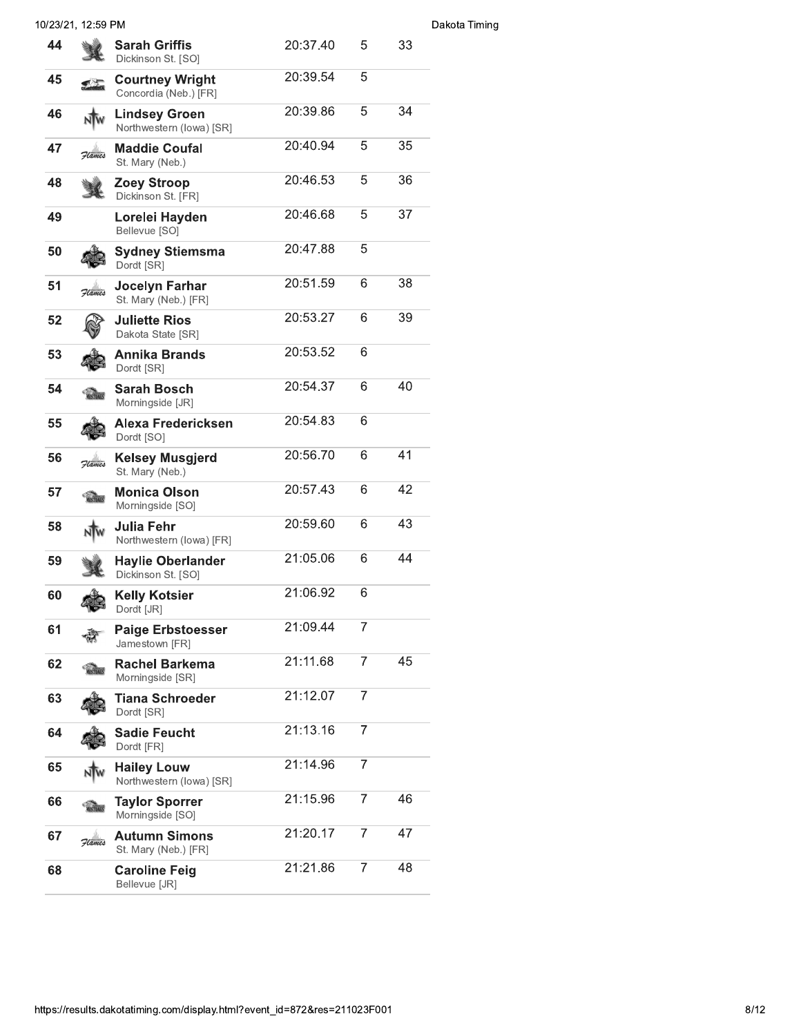|    | 10/23/21, 12:59 PM |                                                  |          |                |    | Dakota Timing |
|----|--------------------|--------------------------------------------------|----------|----------------|----|---------------|
| 44 |                    | <b>Sarah Griffis</b><br>Dickinson St. [SO]       | 20:37.40 | 5              | 33 |               |
| 45 |                    | <b>Courtney Wright</b><br>Concordia (Neb.) [FR]  | 20:39.54 | 5              |    |               |
| 46 |                    | <b>Lindsey Groen</b><br>Northwestern (lowa) [SR] | 20:39.86 | 5              | 34 |               |
| 47 | Flames             | <b>Maddie Coufal</b><br>St. Mary (Neb.)          | 20:40.94 | 5              | 35 |               |
| 48 |                    | <b>Zoey Stroop</b><br>Dickinson St. [FR]         | 20:46.53 | 5              | 36 |               |
| 49 |                    | Lorelei Hayden<br>Bellevue [SO]                  | 20:46.68 | 5              | 37 |               |
| 50 |                    | <b>Sydney Stiemsma</b><br>Dordt [SR]             | 20:47.88 | 5              |    |               |
| 51 | Flames             | Jocelyn Farhar<br>St. Mary (Neb.) [FR]           | 20:51.59 | 6              | 38 |               |
| 52 |                    | <b>Juliette Rios</b><br>Dakota State [SR]        | 20:53.27 | 6              | 39 |               |
| 53 |                    | Annika Brands<br>Dordt [SR]                      | 20:53.52 | 6              |    |               |
| 54 |                    | <b>Sarah Bosch</b><br>Morningside [JR]           | 20:54.37 | 6              | 40 |               |
| 55 |                    | Alexa Fredericksen<br>Dordt [SO]                 | 20:54.83 | 6              |    |               |
| 56 | Flames             | <b>Kelsey Musgjerd</b><br>St. Mary (Neb.)        | 20:56.70 | 6              | 41 |               |
| 57 |                    | <b>Monica Olson</b><br>Morningside [SO]          | 20:57.43 | 6              | 42 |               |
| 58 |                    | Julia Fehr<br>Northwestern (lowa) [FR]           | 20:59.60 | 6              | 43 |               |
| 59 |                    | <b>Haylie Oberlander</b><br>Dickinson St. [SO]   | 21:05.06 | 6              | 44 |               |
| 60 | $\mathbb{R}^d$     | <b>Kelly Kotsier</b><br>Dordt [JR]               | 21:06.92 | 6              |    |               |
| 61 |                    | <b>Paige Erbstoesser</b><br>Jamestown [FR]       | 21:09.44 | $\overline{7}$ |    |               |
| 62 |                    | <b>Rachel Barkema</b><br>Morningside [SR]        | 21:11.68 | 7              | 45 |               |
| 63 |                    | Tiana Schroeder<br>Dordt [SR]                    | 21:12.07 | 7              |    |               |
| 64 |                    | <b>Sadie Feucht</b><br>Dordt [FR]                | 21:13.16 | $\overline{7}$ |    |               |
| 65 |                    | <b>Hailey Louw</b><br>Northwestern (lowa) [SR]   | 21:14.96 | $\overline{7}$ |    |               |
| 66 |                    | <b>Taylor Sporrer</b><br>Morningside [SO]        | 21:15.96 | 7              | 46 |               |
| 67 | Flames             | <b>Autumn Simons</b><br>St. Mary (Neb.) [FR]     | 21:20.17 | 7              | 47 |               |
| 68 |                    | <b>Caroline Feig</b><br>Bellevue [JR]            | 21:21.86 | 7              | 48 |               |
|    |                    |                                                  |          |                |    |               |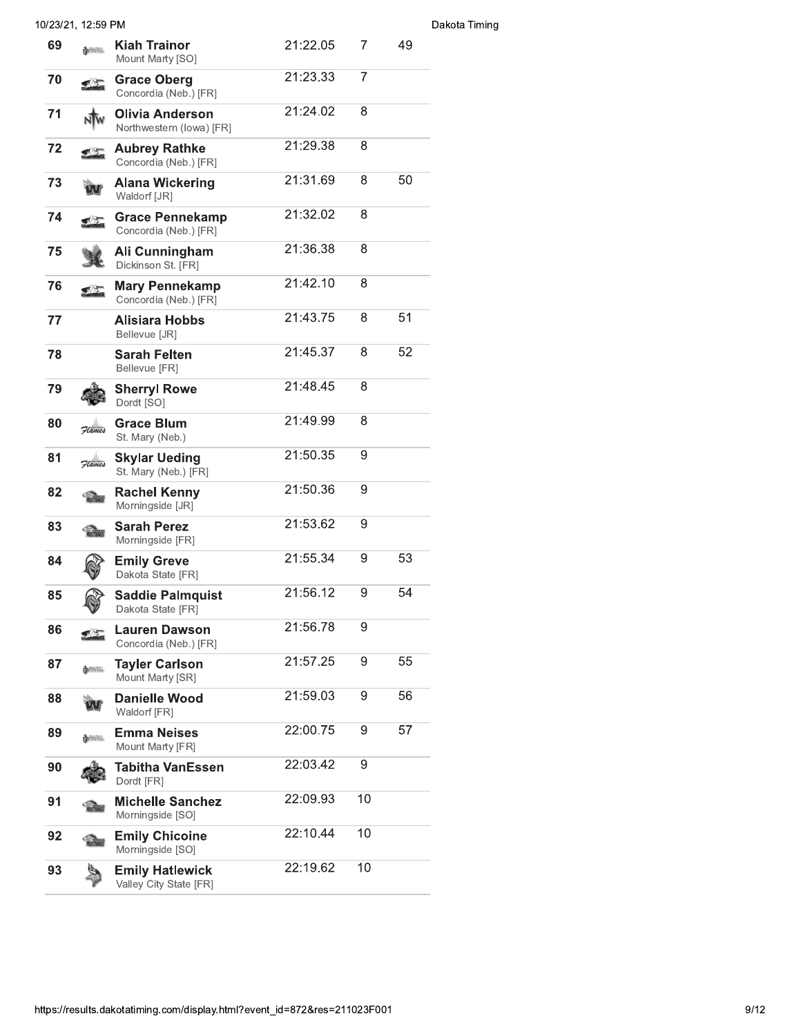|    | 10/23/21, 12:59 PM |                                                  |          |                  |    | Dakota Timing |
|----|--------------------|--------------------------------------------------|----------|------------------|----|---------------|
| 69 | <b>EL UNCERS</b>   | <b>Kiah Trainor</b><br>Mount Marty [SO]          | 21:22.05 | 7                | 49 |               |
| 70 | <b>Registra</b>    | <b>Grace Oberg</b><br>Concordia (Neb.) [FR]      | 21:23.33 | 7                |    |               |
| 71 |                    | Olivia Anderson<br>Northwestern (lowa) [FR]      | 21:24.02 | 8                |    |               |
| 72 |                    | <b>Aubrey Rathke</b><br>Concordia (Neb.) [FR]    | 21:29.38 | 8                |    |               |
| 73 |                    | <b>Alana Wickering</b><br>Waldorf [JR]           | 21:31.69 | 8                | 50 |               |
| 74 |                    | <b>Grace Pennekamp</b><br>Concordia (Neb.) [FR]  | 21:32.02 | 8                |    |               |
| 75 |                    | Ali Cunningham<br>Dickinson St. [FR]             | 21:36.38 | 8                |    |               |
| 76 | <b>SAG</b>         | <b>Mary Pennekamp</b><br>Concordia (Neb.) [FR]   | 21:42.10 | 8                |    |               |
| 77 |                    | <b>Alisiara Hobbs</b><br>Bellevue [JR]           | 21:43.75 | 8                | 51 |               |
| 78 |                    | <b>Sarah Felten</b><br>Bellevue [FR]             | 21:45.37 | 8                | 52 |               |
| 79 |                    | <b>Sherryl Rowe</b><br>Dordt [SO]                | 21:48.45 | 8                |    |               |
| 80 | Flames             | <b>Grace Blum</b><br>St. Mary (Neb.)             | 21:49.99 | 8                |    |               |
| 81 | Flames             | <b>Skylar Ueding</b><br>St. Mary (Neb.) [FR]     | 21:50.35 | 9                |    |               |
| 82 | <b>WUSTANES</b>    | <b>Rachel Kenny</b><br>Morningside [JR]          | 21:50.36 | 9                |    |               |
| 83 | <b>MUSTANES</b>    | <b>Sarah Perez</b><br>Morningside [FR]           | 21:53.62 | 9                |    |               |
| 84 |                    | <b>Emily Greve</b><br>Dakota State [FR]          | 21:55.34 | 9                | 53 |               |
| 85 |                    | <b>Saddie Palmquist</b><br>Dakota State [FR]     | 21:56.12 | 9                | 54 |               |
| 86 | <b>Signal</b>      | <b>Lauren Dawson</b><br>Concordia (Neb.) [FR]    | 21:56.78 | 9                |    |               |
| 87 | <b>EL UNCERS</b>   | <b>Tayler Carlson</b><br>Mount Marty [SR]        | 21:57.25 | 9                | 55 |               |
| 88 |                    | <b>Danielle Wood</b><br>Waldorf [FR]             | 21:59.03 | 9                | 56 |               |
| 89 | LUNCERS            | <b>Emma Neises</b><br>Mount Marty [FR]           | 22:00.75 | 9                | 57 |               |
| 90 |                    | Tabitha VanEssen<br>Dordt [FR]                   | 22:03.42 | $\boldsymbol{9}$ |    |               |
| 91 | <b>MUSTANES</b>    | <b>Michelle Sanchez</b><br>Morningside [SO]      | 22:09.93 | 10               |    |               |
| 92 | <b>MUSTANES</b>    | <b>Emily Chicoine</b><br>Morningside [SO]        | 22:10.44 | 10               |    |               |
| 93 |                    | <b>Emily Hatlewick</b><br>Valley City State [FR] | 22:19.62 | 10               |    |               |
|    |                    |                                                  |          |                  |    |               |

## https://results.dakotatiming.com/display.html?event\_id=872&res=211023F001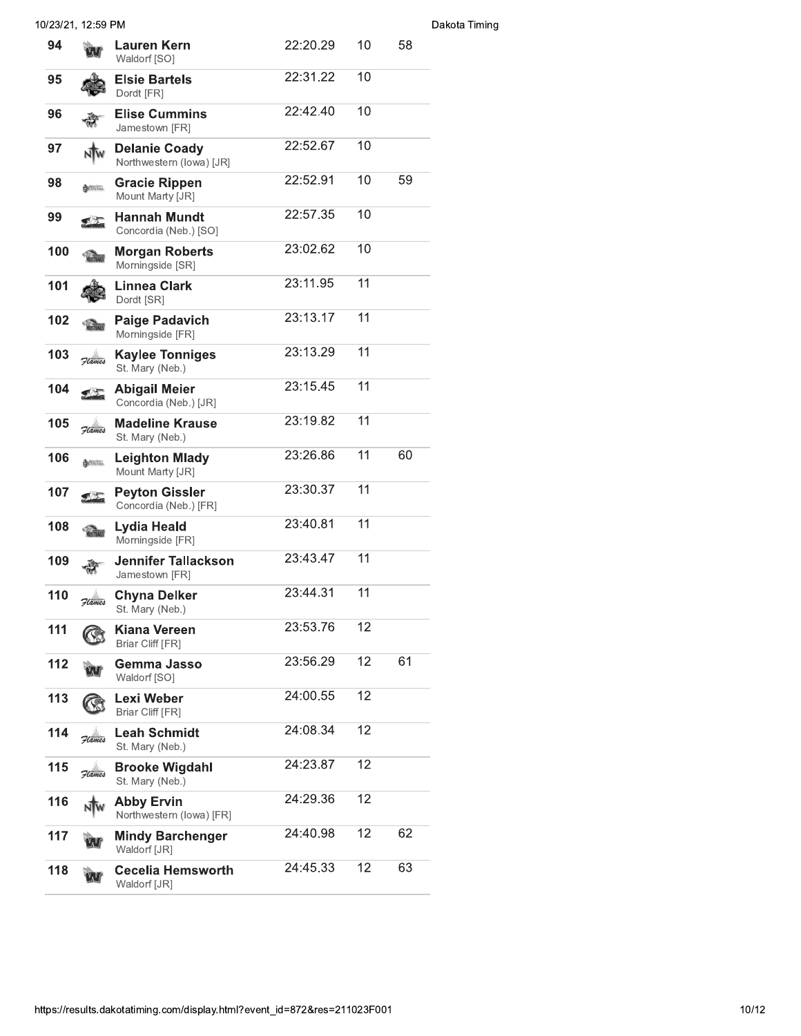|     | 10/23/21, 12:59 PM |                                                  |          |    |    |
|-----|--------------------|--------------------------------------------------|----------|----|----|
| 94  |                    | <b>Lauren Kern</b><br>Waldorf [SO]               | 22:20.29 | 10 | 58 |
| 95  |                    | <b>Elsie Bartels</b><br>Dordt [FR]               | 22:31.22 | 10 |    |
| 96  |                    | <b>Elise Cummins</b><br>Jamestown [FR]           | 22:42.40 | 10 |    |
| 97  |                    | <b>Delanie Coady</b><br>Northwestern (lowa) [JR] | 22:52.67 | 10 |    |
| 98  | <b>EL UNCERS</b>   | <b>Gracie Rippen</b><br>Mount Marty [JR]         | 22:52.91 | 10 | 59 |
| 99  | <u>ा प्र</u>       | <b>Hannah Mundt</b><br>Concordia (Neb.) [SO]     | 22:57.35 | 10 |    |
| 100 | <b>MUSTANES</b>    | <b>Morgan Roberts</b><br>Morningside [SR]        | 23:02.62 | 10 |    |
| 101 |                    | <b>Linnea Clark</b><br>Dordt [SR]                | 23:11.95 | 11 |    |
| 102 |                    | <b>Paige Padavich</b><br>Morningside [FR]        | 23:13.17 | 11 |    |
| 103 | Flames             | <b>Kaylee Tonniges</b><br>St. Mary (Neb.)        | 23:13.29 | 11 |    |
| 104 |                    | <b>Abigail Meier</b><br>Concordia (Neb.) [JR]    | 23:15.45 | 11 |    |
| 105 | Flames             | <b>Madeline Krause</b><br>St. Mary (Neb.)        | 23:19.82 | 11 |    |
| 106 | <b>EL UNCERS</b>   | <b>Leighton Mlady</b><br>Mount Marty [JR]        | 23:26.86 | 11 | 60 |
| 107 | 【法                 | <b>Peyton Gissler</b><br>Concordia (Neb.) [FR]   | 23:30.37 | 11 |    |
| 108 | STANG              | Lydia Heald<br>Morningside [FR]                  | 23:40.81 | 11 |    |
| 109 |                    | <b>Jennifer Tallackson</b><br>Jamestown [FR]     | 23:43.47 | 11 |    |
| 110 | Flames             | <b>Chyna Delker</b><br>St. Mary (Neb.)           | 23:44.31 | 11 |    |
| 111 |                    | Kiana Vereen<br>Briar Cliff [FR]                 | 23:53.76 | 12 |    |
| 112 |                    | Gemma Jasso<br>Waldorf [SO]                      | 23:56.29 | 12 | 61 |
| 113 |                    | Lexi Weber<br>Briar Cliff [FR]                   | 24:00.55 | 12 |    |
| 114 | Flames             | <b>Leah Schmidt</b><br>St. Mary (Neb.)           | 24:08.34 | 12 |    |
| 115 | Flames             | <b>Brooke Wigdahl</b><br>St. Mary (Neb.)         | 24:23.87 | 12 |    |
| 116 |                    | <b>Abby Ervin</b><br>Northwestern (lowa) [FR]    | 24:29.36 | 12 |    |
| 117 |                    | <b>Mindy Barchenger</b><br>Waldorf [JR]          | 24:40.98 | 12 | 62 |
| 118 |                    | <b>Cecelia Hemsworth</b><br>Waldorf [JR]         | 24:45.33 | 12 | 63 |
|     |                    |                                                  |          |    |    |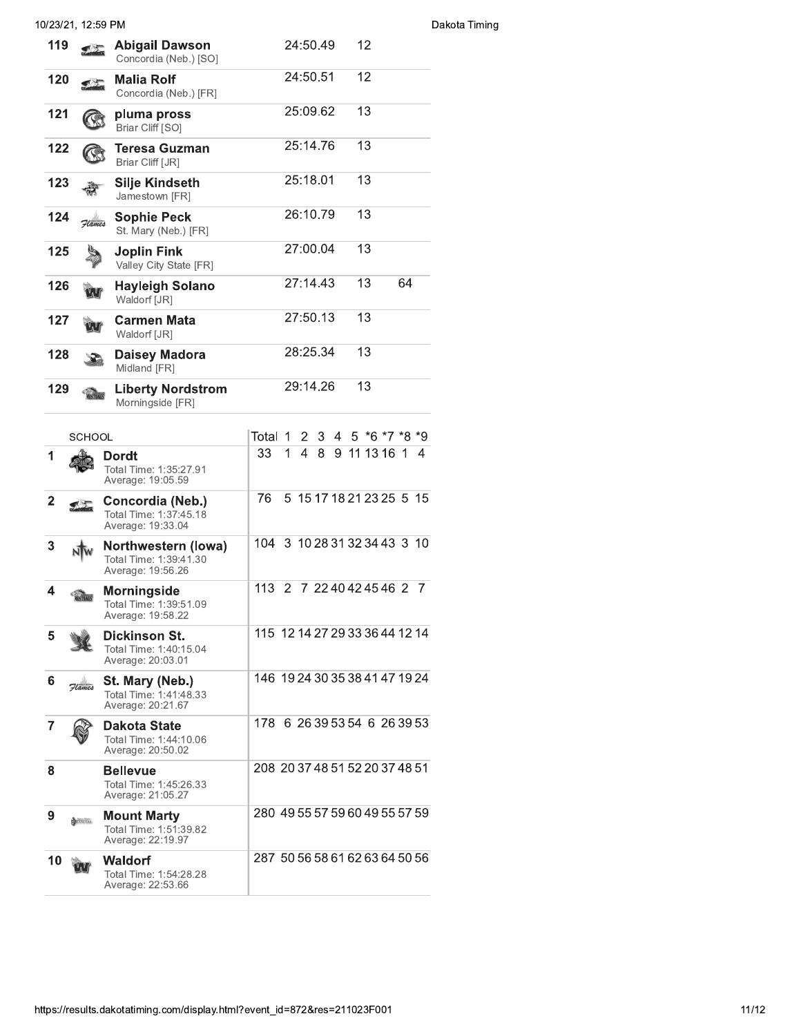|                | 10/23/21, 12:59 PM |                                                                     |                                                  |
|----------------|--------------------|---------------------------------------------------------------------|--------------------------------------------------|
| 119            |                    | <b>Abigail Dawson</b><br>Concordia (Neb.) [SO]                      | 12<br>24:50.49                                   |
| 120            |                    | <b>Malia Rolf</b><br>Concordia (Neb.) [FR]                          | 24:50.51<br>12                                   |
| 121            |                    | pluma pross<br>Briar Cliff [SO]                                     | 25:09.62<br>13                                   |
| 122            |                    | Teresa Guzman<br>Briar Cliff [JR]                                   | 25:14.76<br>13                                   |
| 123            |                    | <b>Silje Kindseth</b><br>Jamestown [FR]                             | 25:18.01<br>13                                   |
| 124            | Flames             | <b>Sophie Peck</b><br>St. Mary (Neb.) [FR]                          | 26:10.79<br>13                                   |
| 125            |                    | <b>Joplin Fink</b><br>Valley City State [FR]                        | 27:00.04<br>13                                   |
| 126            |                    | <b>Hayleigh Solano</b><br>Waldorf [JR]                              | 27:14.43<br>64<br>13                             |
| 127            |                    | <b>Carmen Mata</b><br>Waldorf [JR]                                  | 27:50.13<br>13                                   |
| 128            |                    | <b>Daisey Madora</b><br>Midland [FR]                                | 28:25.34<br>13                                   |
| 129            |                    | <b>Liberty Nordstrom</b><br>Morningside [FR]                        | 29:14.26<br>13                                   |
|                | <b>SCHOOL</b>      |                                                                     | $5 * 6 * 7 * 8 * 9$<br>Total 1<br>2<br>3<br>4    |
| 1              |                    | Dordt<br>Total Time: 1:35:27.91<br>Average: 19:05.59                | 33<br>$\overline{4}$<br>9 11 13 16 1 4<br>1<br>8 |
| $\overline{2}$ | 【公                 | Concordia (Neb.)<br>Total Time: 1:37:45.18<br>Average: 19:33.04     | 76<br>5 15 17 18 21 23 25 5 15                   |
| 3              |                    | Northwestern (lowa)<br>Total Time: 1:39:41.30<br>Average: 19:56.26  | 104 3 10 28 31 32 34 43 3 10                     |
| 4              |                    | Morningside<br>Total Time: 1:39:51.09<br>Average: 19:58.22          | 113 2 7 22 40 42 45 46 2 7                       |
| 5              |                    | <b>Dickinson St.</b><br>Total Time: 1:40:15.04<br>Average: 20:03.01 | 115 12 14 27 29 33 36 44 12 14                   |
| 6              | Flames             | St. Mary (Neb.)<br>Total Time: 1:41:48.33<br>Average: 20:21.67      | 146 19 24 30 35 38 41 47 19 24                   |
| $\overline{7}$ |                    | Dakota State<br>Total Time: 1:44:10.06<br>Average: 20:50.02         | 178 6 26 39 53 54 6 26 39 53                     |
| 8              |                    | <b>Bellevue</b><br>Total Time: 1:45:26.33<br>Average: 21:05.27      | 208 20 37 48 51 52 20 37 48 51                   |
| 9              | LANCERS            | <b>Mount Marty</b><br>Total Time: 1:51:39.82<br>Average: 22:19.97   | 280 49 55 57 59 60 49 55 57 59                   |
| 10             |                    | <b>Waldorf</b><br>Total Time: 1:54:28.28<br>Average: 22:53.66       | 287 50 56 58 61 62 63 64 50 56                   |

## akota Timing